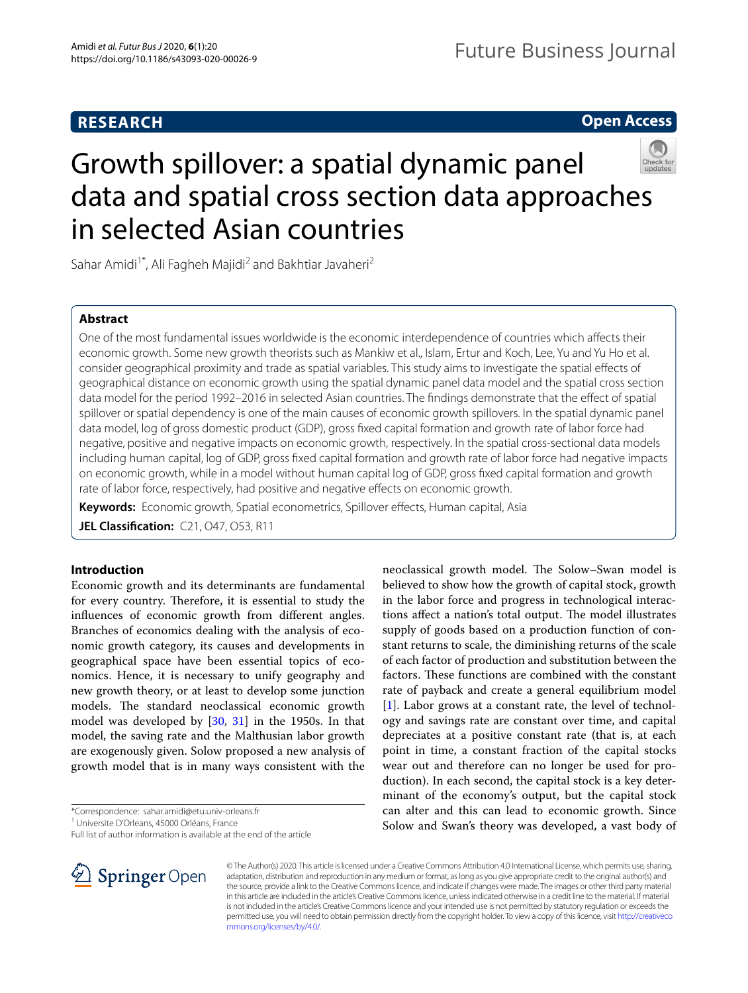# **RESEARCH**

# **Open Access**



# Growth spillover: a spatial dynamic panel data and spatial cross section data approaches in selected Asian countries

Sahar Amidi<sup>1\*</sup>, Ali Fagheh Majidi<sup>2</sup> and Bakhtiar Javaheri<sup>2</sup>

# **Abstract**

One of the most fundamental issues worldwide is the economic interdependence of countries which afects their economic growth. Some new growth theorists such as Mankiw et al., Islam, Ertur and Koch, Lee, Yu and Yu Ho et al. consider geographical proximity and trade as spatial variables. This study aims to investigate the spatial efects of geographical distance on economic growth using the spatial dynamic panel data model and the spatial cross section data model for the period 1992–2016 in selected Asian countries. The fndings demonstrate that the efect of spatial spillover or spatial dependency is one of the main causes of economic growth spillovers. In the spatial dynamic panel data model, log of gross domestic product (GDP), gross fxed capital formation and growth rate of labor force had negative, positive and negative impacts on economic growth, respectively. In the spatial cross-sectional data models including human capital, log of GDP, gross fxed capital formation and growth rate of labor force had negative impacts on economic growth, while in a model without human capital log of GDP, gross fxed capital formation and growth rate of labor force, respectively, had positive and negative effects on economic growth.

Keywords: Economic growth, Spatial econometrics, Spillover effects, Human capital, Asia

**JEL Classifcation:** C21, O47, O53, R11

## <span id="page-0-0"></span>**Introduction**

Economic growth and its determinants are fundamental for every country. Therefore, it is essential to study the infuences of economic growth from diferent angles. Branches of economics dealing with the analysis of economic growth category, its causes and developments in geographical space have been essential topics of economics. Hence, it is necessary to unify geography and new growth theory, or at least to develop some junction models. The standard neoclassical economic growth model was developed by [[30,](#page-13-0) [31\]](#page-13-1) in the 1950s. In that model, the saving rate and the Malthusian labor growth are exogenously given. Solow proposed a new analysis of growth model that is in many ways consistent with the

\*Correspondence: sahar.amidi@etu.univ-orleans.fr

1 Universite D'Orleans, 45000 Orléans, France

Full list of author information is available at the end of the article



neoclassical growth model. The Solow–Swan model is believed to show how the growth of capital stock, growth in the labor force and progress in technological interactions affect a nation's total output. The model illustrates supply of goods based on a production function of constant returns to scale, the diminishing returns of the scale of each factor of production and substitution between the factors. These functions are combined with the constant rate of payback and create a general equilibrium model [[1\]](#page-12-0). Labor grows at a constant rate, the level of technology and savings rate are constant over time, and capital depreciates at a positive constant rate (that is, at each point in time, a constant fraction of the capital stocks wear out and therefore can no longer be used for production). In each second, the capital stock is a key determinant of the economy's output, but the capital stock can alter and this can lead to economic growth. Since Solow and Swan's theory was developed, a vast body of

© The Author(s) 2020. This article is licensed under a Creative Commons Attribution 4.0 International License, which permits use, sharing, adaptation, distribution and reproduction in any medium or format, as long as you give appropriate credit to the original author(s) and the source, provide a link to the Creative Commons licence, and indicate if changes were made. The images or other third party material in this article are included in the article's Creative Commons licence, unless indicated otherwise in a credit line to the material. If material is not included in the article's Creative Commons licence and your intended use is not permitted by statutory regulation or exceeds the permitted use, you will need to obtain permission directly from the copyright holder. To view a copy of this licence, visit [http://creativeco](http://creativecommons.org/licenses/by/4.0/) [mmons.org/licenses/by/4.0/.](http://creativecommons.org/licenses/by/4.0/)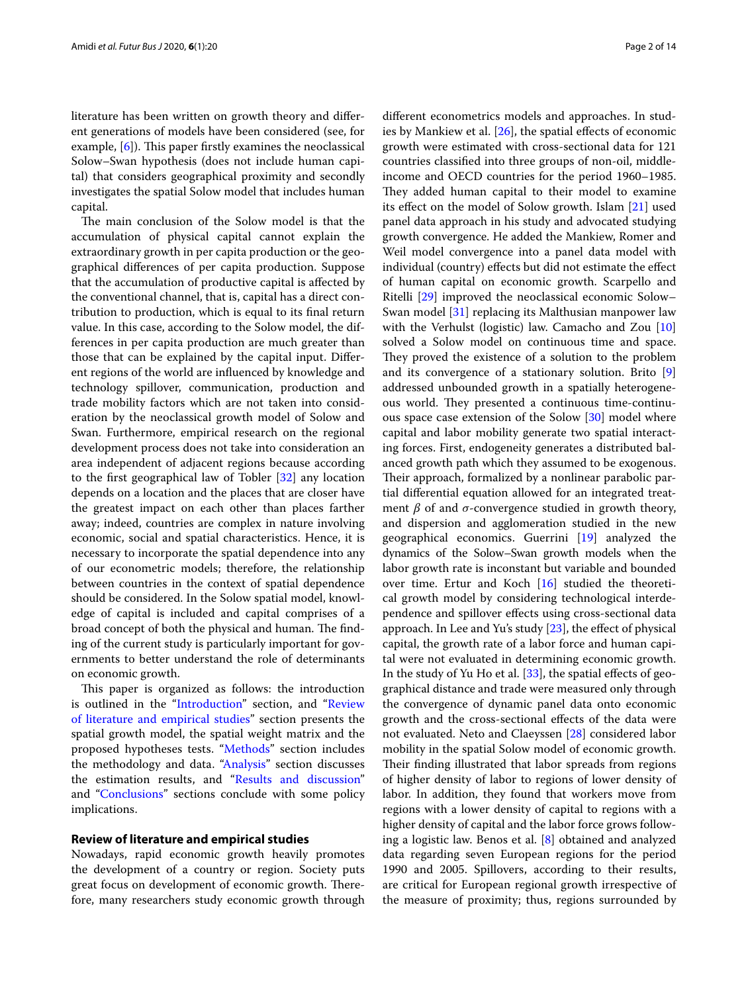literature has been written on growth theory and diferent generations of models have been considered (see, for example,  $[6]$  $[6]$ ). This paper firstly examines the neoclassical Solow–Swan hypothesis (does not include human capital) that considers geographical proximity and secondly investigates the spatial Solow model that includes human capital.

The main conclusion of the Solow model is that the accumulation of physical capital cannot explain the extraordinary growth in per capita production or the geographical diferences of per capita production. Suppose that the accumulation of productive capital is afected by the conventional channel, that is, capital has a direct contribution to production, which is equal to its fnal return value. In this case, according to the Solow model, the differences in per capita production are much greater than those that can be explained by the capital input. Diferent regions of the world are infuenced by knowledge and technology spillover, communication, production and trade mobility factors which are not taken into consideration by the neoclassical growth model of Solow and Swan. Furthermore, empirical research on the regional development process does not take into consideration an area independent of adjacent regions because according to the frst geographical law of Tobler [\[32\]](#page-13-2) any location depends on a location and the places that are closer have the greatest impact on each other than places farther away; indeed, countries are complex in nature involving economic, social and spatial characteristics. Hence, it is necessary to incorporate the spatial dependence into any of our econometric models; therefore, the relationship between countries in the context of spatial dependence should be considered. In the Solow spatial model, knowledge of capital is included and capital comprises of a broad concept of both the physical and human. The finding of the current study is particularly important for governments to better understand the role of determinants on economic growth.

This paper is organized as follows: the introduction is outlined in the "[Introduction"](#page-0-0) section, and "[Review](#page-1-0)  [of literature and empirical studies](#page-1-0)" section presents the spatial growth model, the spatial weight matrix and the proposed hypotheses tests. ["Methods](#page-2-0)" section includes the methodology and data. ["Analysis"](#page-4-0) section discusses the estimation results, and ["Results and discussion"](#page-11-0) and "[Conclusions](#page-12-2)" sections conclude with some policy implications.

## <span id="page-1-0"></span>**Review of literature and empirical studies**

Nowadays, rapid economic growth heavily promotes the development of a country or region. Society puts great focus on development of economic growth. Therefore, many researchers study economic growth through diferent econometrics models and approaches. In studies by Mankiew et al.  $[26]$  $[26]$  $[26]$ , the spatial effects of economic growth were estimated with cross-sectional data for 121 countries classifed into three groups of non-oil, middleincome and OECD countries for the period 1960–1985. They added human capital to their model to examine its efect on the model of Solow growth. Islam [\[21](#page-13-4)] used panel data approach in his study and advocated studying growth convergence. He added the Mankiew, Romer and Weil model convergence into a panel data model with individual (country) effects but did not estimate the effect of human capital on economic growth. Scarpello and Ritelli [[29](#page-13-5)] improved the neoclassical economic Solow– Swan model [[31\]](#page-13-1) replacing its Malthusian manpower law with the Verhulst (logistic) law. Camacho and Zou [[10](#page-12-3)] solved a Solow model on continuous time and space. They proved the existence of a solution to the problem and its convergence of a stationary solution. Brito [\[9](#page-12-4)] addressed unbounded growth in a spatially heterogeneous world. They presented a continuous time-continuous space case extension of the Solow [[30\]](#page-13-0) model where capital and labor mobility generate two spatial interacting forces. First, endogeneity generates a distributed balanced growth path which they assumed to be exogenous. Their approach, formalized by a nonlinear parabolic partial diferential equation allowed for an integrated treatment  $\beta$  of and  $\sigma$ -convergence studied in growth theory, and dispersion and agglomeration studied in the new geographical economics. Guerrini [[19\]](#page-13-6) analyzed the dynamics of the Solow–Swan growth models when the labor growth rate is inconstant but variable and bounded over time. Ertur and Koch [[16\]](#page-13-7) studied the theoretical growth model by considering technological interdependence and spillover efects using cross-sectional data approach. In Lee and Yu's study [[23\]](#page-13-8), the effect of physical capital, the growth rate of a labor force and human capital were not evaluated in determining economic growth. In the study of Yu Ho et al. [\[33](#page-13-9)], the spatial efects of geographical distance and trade were measured only through the convergence of dynamic panel data onto economic growth and the cross-sectional efects of the data were not evaluated. Neto and Claeyssen [[28\]](#page-13-10) considered labor mobility in the spatial Solow model of economic growth. Their finding illustrated that labor spreads from regions of higher density of labor to regions of lower density of labor. In addition, they found that workers move from regions with a lower density of capital to regions with a higher density of capital and the labor force grows following a logistic law. Benos et al. [[8\]](#page-12-5) obtained and analyzed data regarding seven European regions for the period 1990 and 2005. Spillovers, according to their results, are critical for European regional growth irrespective of the measure of proximity; thus, regions surrounded by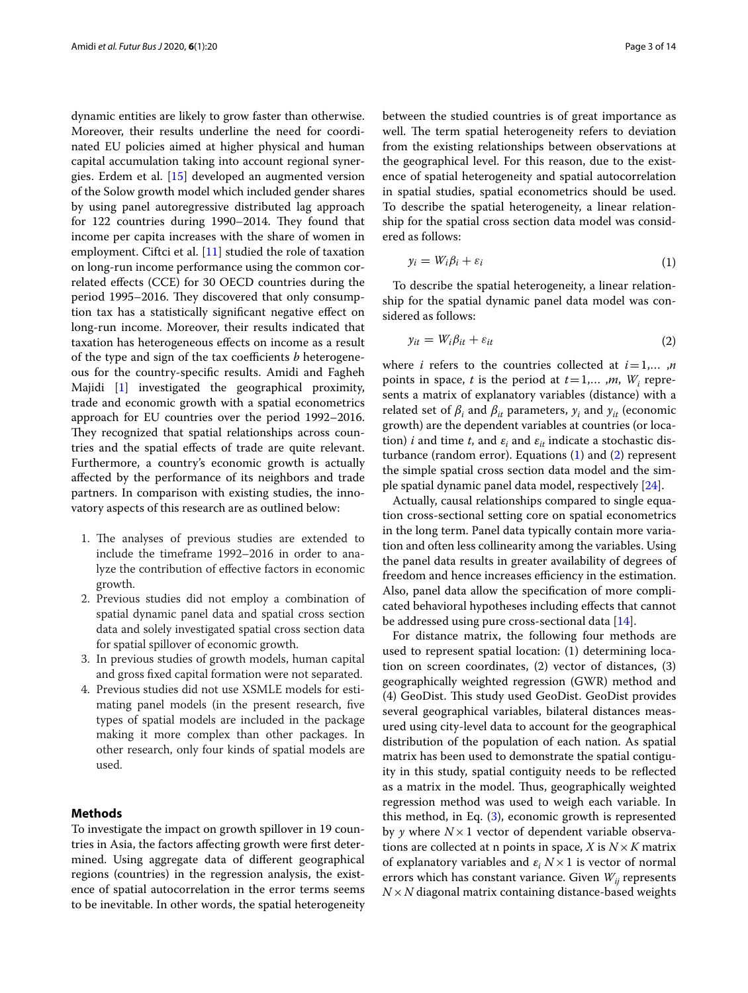dynamic entities are likely to grow faster than otherwise. Moreover, their results underline the need for coordinated EU policies aimed at higher physical and human capital accumulation taking into account regional synergies. Erdem et al. [\[15](#page-13-11)] developed an augmented version of the Solow growth model which included gender shares by using panel autoregressive distributed lag approach for 122 countries during 1990–2014. They found that income per capita increases with the share of women in employment. Ciftci et al. [[11\]](#page-12-6) studied the role of taxation on long-run income performance using the common correlated efects (CCE) for 30 OECD countries during the period 1995–2016. They discovered that only consumption tax has a statistically signifcant negative efect on long-run income. Moreover, their results indicated that taxation has heterogeneous efects on income as a result of the type and sign of the tax coefficients *b* heterogeneous for the country-specifc results. Amidi and Fagheh Majidi [\[1](#page-12-0)] investigated the geographical proximity, trade and economic growth with a spatial econometrics approach for EU countries over the period 1992–2016. They recognized that spatial relationships across countries and the spatial efects of trade are quite relevant. Furthermore, a country's economic growth is actually afected by the performance of its neighbors and trade partners. In comparison with existing studies, the innovatory aspects of this research are as outlined below:

- 1. The analyses of previous studies are extended to include the timeframe 1992–2016 in order to analyze the contribution of efective factors in economic growth.
- 2. Previous studies did not employ a combination of spatial dynamic panel data and spatial cross section data and solely investigated spatial cross section data for spatial spillover of economic growth.
- 3. In previous studies of growth models, human capital and gross fxed capital formation were not separated.
- 4. Previous studies did not use XSMLE models for estimating panel models (in the present research, fve types of spatial models are included in the package making it more complex than other packages. In other research, only four kinds of spatial models are used.

## <span id="page-2-0"></span>**Methods**

To investigate the impact on growth spillover in 19 countries in Asia, the factors afecting growth were frst determined. Using aggregate data of diferent geographical regions (countries) in the regression analysis, the existence of spatial autocorrelation in the error terms seems to be inevitable. In other words, the spatial heterogeneity between the studied countries is of great importance as well. The term spatial heterogeneity refers to deviation from the existing relationships between observations at the geographical level. For this reason, due to the existence of spatial heterogeneity and spatial autocorrelation in spatial studies, spatial econometrics should be used. To describe the spatial heterogeneity, a linear relationship for the spatial cross section data model was considered as follows:

<span id="page-2-1"></span>
$$
y_i = W_i \beta_i + \varepsilon_i \tag{1}
$$

To describe the spatial heterogeneity, a linear relationship for the spatial dynamic panel data model was considered as follows:

<span id="page-2-2"></span>
$$
y_{it} = W_i \beta_{it} + \varepsilon_{it} \tag{2}
$$

where *i* refers to the countries collected at  $i=1,...,n$ points in space, *t* is the period at  $t = 1,...,m$ ,  $W_i$  represents a matrix of explanatory variables (distance) with a related set of  $\beta_i$  and  $\beta_{it}$  parameters,  $y_i$  and  $y_{it}$  (economic growth) are the dependent variables at countries (or location) *i* and time *t*, and  $\varepsilon_i$  and  $\varepsilon_{it}$  indicate a stochastic disturbance (random error). Equations [\(1](#page-2-1)) and [\(2](#page-2-2)) represent the simple spatial cross section data model and the simple spatial dynamic panel data model, respectively [[24\]](#page-13-12).

Actually, causal relationships compared to single equation cross-sectional setting core on spatial econometrics in the long term. Panel data typically contain more variation and often less collinearity among the variables. Using the panel data results in greater availability of degrees of freedom and hence increases efficiency in the estimation. Also, panel data allow the specifcation of more complicated behavioral hypotheses including efects that cannot be addressed using pure cross-sectional data [[14\]](#page-13-13).

For distance matrix, the following four methods are used to represent spatial location: (1) determining location on screen coordinates, (2) vector of distances, (3) geographically weighted regression (GWR) method and (4) GeoDist. This study used GeoDist. GeoDist provides several geographical variables, bilateral distances measured using city-level data to account for the geographical distribution of the population of each nation. As spatial matrix has been used to demonstrate the spatial contiguity in this study, spatial contiguity needs to be refected as a matrix in the model. Thus, geographically weighted regression method was used to weigh each variable. In this method, in Eq. [\(3](#page-3-0)), economic growth is represented by *y* where  $N \times 1$  vector of dependent variable observations are collected at n points in space, *X* is  $N \times K$  matrix of explanatory variables and  $\varepsilon_i$   $N \times 1$  is vector of normal errors which has constant variance. Given  $W_{ij}$  represents *N*×*N* diagonal matrix containing distance-based weights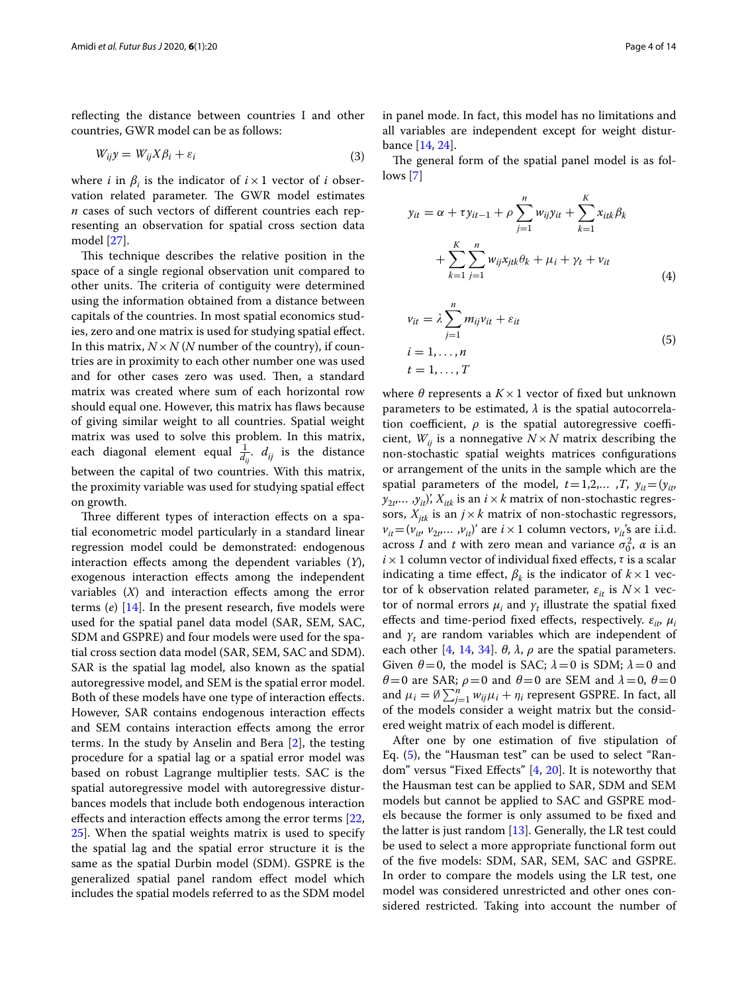refecting the distance between countries I and other countries, GWR model can be as follows:

$$
W_{ij}y = W_{ij}X\beta_i + \varepsilon_i \tag{3}
$$

where *i* in  $\beta_i$  is the indicator of  $i \times 1$  vector of *i* observation related parameter. The GWR model estimates *n* cases of such vectors of diferent countries each representing an observation for spatial cross section data model [[27\]](#page-13-14).

This technique describes the relative position in the space of a single regional observation unit compared to other units. The criteria of contiguity were determined using the information obtained from a distance between capitals of the countries. In most spatial economics studies, zero and one matrix is used for studying spatial efect. In this matrix,  $N \times N$  (*N* number of the country), if countries are in proximity to each other number one was used and for other cases zero was used. Then, a standard matrix was created where sum of each horizontal row should equal one. However, this matrix has flaws because of giving similar weight to all countries. Spatial weight matrix was used to solve this problem. In this matrix, each diagonal element equal  $\frac{1}{d_{ij}}$ .  $d_{ij}$  is the distance between the capital of two countries. With this matrix, the proximity variable was used for studying spatial effect on growth.

Three different types of interaction effects on a spatial econometric model particularly in a standard linear regression model could be demonstrated: endogenous interaction efects among the dependent variables (*Y*), exogenous interaction effects among the independent variables  $(X)$  and interaction effects among the error terms (*e*) [\[14](#page-13-13)]. In the present research, fve models were used for the spatial panel data model (SAR, SEM, SAC, SDM and GSPRE) and four models were used for the spatial cross section data model (SAR, SEM, SAC and SDM). SAR is the spatial lag model, also known as the spatial autoregressive model, and SEM is the spatial error model. Both of these models have one type of interaction efects. However, SAR contains endogenous interaction efects and SEM contains interaction efects among the error terms. In the study by Anselin and Bera [[2\]](#page-12-7), the testing procedure for a spatial lag or a spatial error model was based on robust Lagrange multiplier tests. SAC is the spatial autoregressive model with autoregressive disturbances models that include both endogenous interaction effects and interaction effects among the error terms [\[22](#page-13-15), [25\]](#page-13-16). When the spatial weights matrix is used to specify the spatial lag and the spatial error structure it is the same as the spatial Durbin model (SDM). GSPRE is the generalized spatial panel random efect model which includes the spatial models referred to as the SDM model in panel mode. In fact, this model has no limitations and all variables are independent except for weight disturbance [\[14](#page-13-13), [24](#page-13-12)].

<span id="page-3-0"></span>The general form of the spatial panel model is as follows [[7\]](#page-12-8)

$$
y_{it} = \alpha + \tau y_{it-1} + \rho \sum_{j=1}^{n} w_{ij} y_{it} + \sum_{k=1}^{K} x_{itk} \beta_k + \sum_{k=1}^{K} \sum_{j=1}^{n} w_{ij} x_{jtk} \theta_k + \mu_i + \gamma_t + \nu_{it}
$$
\n(4)

<span id="page-3-1"></span>
$$
\begin{aligned} v_{it} &= \lambda \sum_{j=1}^{n} m_{ij} v_{it} + \varepsilon_{it} \\ i &= 1, \dots, n \\ t &= 1, \dots, T \end{aligned} \tag{5}
$$

where  $\theta$  represents a  $K \times 1$  vector of fixed but unknown parameters to be estimated,  $\lambda$  is the spatial autocorrelation coefficient,  $\rho$  is the spatial autoregressive coefficient,  $W_{ii}$  is a nonnegative  $N \times N$  matrix describing the non-stochastic spatial weights matrices confgurations or arrangement of the units in the sample which are the spatial parameters of the model,  $t=1,2,...,T$ ,  $y_{it}=(y_{it})$  $y_{2t}$ ... , $y_{it}$ )',  $X_{itk}$  is an  $i \times k$  matrix of non-stochastic regressors,  $X_{itk}$  is an  $j \times k$  matrix of non-stochastic regressors,  $v_{it} = (v_{it}, v_{2t}, \dots, v_{it})'$  are  $i \times 1$  column vectors,  $v_{it}$ 's are i.i.d. across *I* and *t* with zero mean and variance  $\sigma_0^2$ ,  $\alpha$  is an  $i \times 1$  column vector of individual fixed effects,  $\tau$  is a scalar indicating a time effect,  $\beta_k$  is the indicator of  $k \times 1$  vector of k observation related parameter,  $\varepsilon_{it}$  is  $N \times 1$  vector of normal errors  $\mu_i$  and  $\gamma_t$  illustrate the spatial fixed effects and time-period fixed effects, respectively.  $\varepsilon_{it}$ ,  $\mu_i$ and  $\gamma_t$  are random variables which are independent of each other [\[4](#page-12-9), [14](#page-13-13), [34\]](#page-13-17).  $\theta$ ,  $\lambda$ ,  $\rho$  are the spatial parameters. Given  $\theta = 0$ , the model is SAC;  $\lambda = 0$  is SDM;  $\lambda = 0$  and *θ*=0 are SAR;  $ρ$ =0 and *θ*=0 are SEM and  $λ$ =0, *θ*=0 and  $\mu_i = \emptyset \sum_{j=1}^n w_{ij} \mu_i + \eta_i$  represent GSPRE. In fact, all of the models consider a weight matrix but the considered weight matrix of each model is diferent.

After one by one estimation of five stipulation of Eq. [\(5](#page-3-1)), the "Hausman test" can be used to select "Random" versus "Fixed Efects" [[4,](#page-12-9) [20\]](#page-13-18). It is noteworthy that the Hausman test can be applied to SAR, SDM and SEM models but cannot be applied to SAC and GSPRE models because the former is only assumed to be fxed and the latter is just random  $[13]$ . Generally, the LR test could be used to select a more appropriate functional form out of the fve models: SDM, SAR, SEM, SAC and GSPRE. In order to compare the models using the LR test, one model was considered unrestricted and other ones considered restricted. Taking into account the number of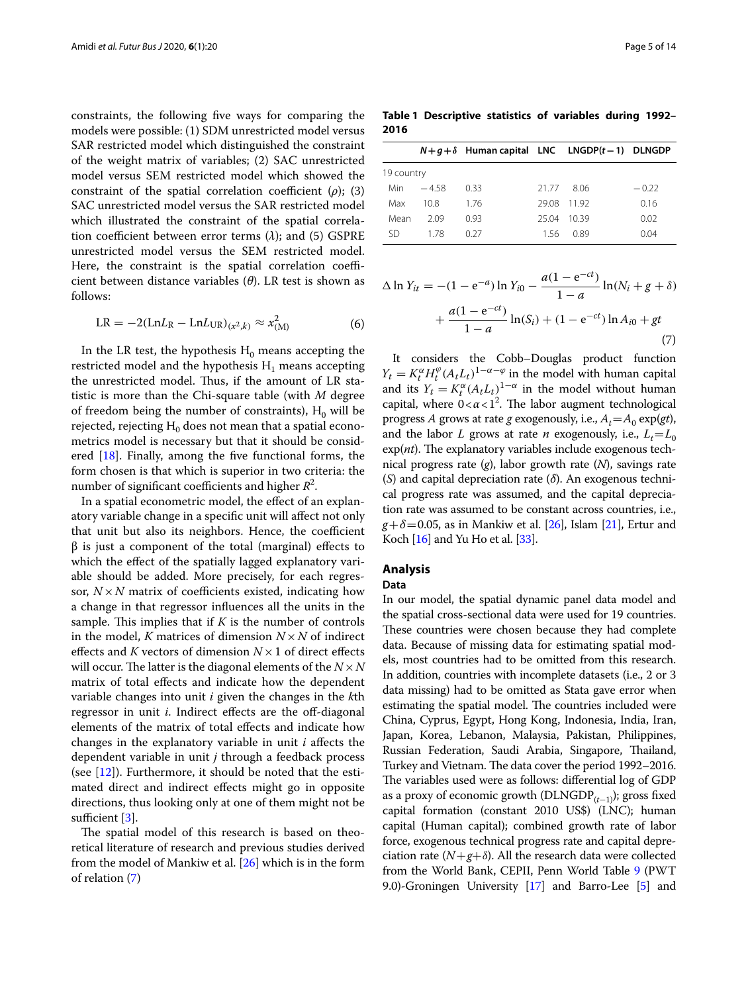constraints, the following fve ways for comparing the models were possible: (1) SDM unrestricted model versus SAR restricted model which distinguished the constraint of the weight matrix of variables; (2) SAC unrestricted model versus SEM restricted model which showed the constraint of the spatial correlation coefficient  $(\rho)$ ; (3) SAC unrestricted model versus the SAR restricted model which illustrated the constraint of the spatial correlation coefficient between error terms  $(\lambda)$ ; and  $(5)$  GSPRE unrestricted model versus the SEM restricted model. Here, the constraint is the spatial correlation coefficient between distance variables (*θ*). LR test is shown as follows:

$$
LR = -2(LnL_R - LnL_{UR})_{(x^2,k)} \approx x_{(M)}^2 \tag{6}
$$

In the LR test, the hypothesis  $H_0$  means accepting the restricted model and the hypothesis  $H_1$  means accepting the unrestricted model. Thus, if the amount of LR statistic is more than the Chi-square table (with *M* degree of freedom being the number of constraints),  $H_0$  will be rejected, rejecting  $H_0$  does not mean that a spatial econometrics model is necessary but that it should be considered [[18\]](#page-13-20). Finally, among the fve functional forms, the form chosen is that which is superior in two criteria: the number of significant coefficients and higher  $R^2$ .

In a spatial econometric model, the efect of an explanatory variable change in a specifc unit will afect not only that unit but also its neighbors. Hence, the coefficient  $β$  is just a component of the total (marginal) effects to which the effect of the spatially lagged explanatory variable should be added. More precisely, for each regressor,  $N \times N$  matrix of coefficients existed, indicating how a change in that regressor infuences all the units in the sample. This implies that if  $K$  is the number of controls in the model, *K* matrices of dimension  $N \times N$  of indirect effects and *K* vectors of dimension  $N \times 1$  of direct effects will occur. The latter is the diagonal elements of the  $N \times N$ matrix of total efects and indicate how the dependent variable changes into unit *i* given the changes in the *k*th regressor in unit *i*. Indirect effects are the off-diagonal elements of the matrix of total efects and indicate how changes in the explanatory variable in unit *i* afects the dependent variable in unit *j* through a feedback process (see [\[12\]](#page-13-21)). Furthermore, it should be noted that the estimated direct and indirect efects might go in opposite directions, thus looking only at one of them might not be sufficient  $[3]$  $[3]$ .

The spatial model of this research is based on theoretical literature of research and previous studies derived from the model of Mankiw et al. [[26](#page-13-3)] which is in the form of relation [\(7](#page-4-1))

<span id="page-4-2"></span>**Table 1 Descriptive statistics of variables during 1992– 2016**

| 19 country |      |       |      |                                                          |
|------------|------|-------|------|----------------------------------------------------------|
| $-4.58$    | 033  | 21.77 | 806  | $-0.22$                                                  |
| 10.8       | 1.76 | 29.08 |      | 0.16                                                     |
| 2.09       | 0.93 | 25.04 | 1039 | 0.02                                                     |
| 178        | 0.27 | 156   | 0.89 | 0.04                                                     |
|            |      |       |      | $N+g+\delta$ Human capital LNC LNGDP(t-1) DLNGDP<br>1192 |

$$
\Delta \ln Y_{it} = -(1 - e^{-a}) \ln Y_{i0} - \frac{a(1 - e^{-ct})}{1 - a} \ln(N_i + g + \delta)
$$

$$
+ \frac{a(1 - e^{-ct})}{1 - a} \ln(S_i) + (1 - e^{-ct}) \ln A_{i0} + gt
$$

$$
\tag{7}
$$

<span id="page-4-1"></span>It considers the Cobb–Douglas product function  $Y_t = K_t^{\alpha} H_t^{\varphi} (A_t L_t)^{1-\alpha-\varphi}$  in the model with human capital and its  $Y_t = K_t^{\alpha} (A_t L_t)^{1-\alpha}$  in the model without human capital, where  $0 < \alpha < 1<sup>2</sup>$ . The labor augment technological progress *A* grows at rate *g* exogenously, i.e.,  $A_t = A_0 \exp(gt)$ , and the labor *L* grows at rate *n* exogenously, i.e.,  $L_t = L_0$  $exp(nt)$ . The explanatory variables include exogenous technical progress rate (*g*), labor growth rate (*N*), savings rate (*S*) and capital depreciation rate (*δ*). An exogenous technical progress rate was assumed, and the capital depreciation rate was assumed to be constant across countries, i.e.,  $g+\delta$ =0.05, as in Mankiw et al. [[26](#page-13-3)], Islam [\[21\]](#page-13-4), Ertur and Koch  $[16]$  and Yu Ho et al.  $[33]$  $[33]$  $[33]$ .

## <span id="page-4-0"></span>**Analysis**

### **Data**

In our model, the spatial dynamic panel data model and the spatial cross-sectional data were used for 19 countries. These countries were chosen because they had complete data. Because of missing data for estimating spatial models, most countries had to be omitted from this research. In addition, countries with incomplete datasets (i.e., 2 or 3 data missing) had to be omitted as Stata gave error when estimating the spatial model. The countries included were China, Cyprus, Egypt, Hong Kong, Indonesia, India, Iran, Japan, Korea, Lebanon, Malaysia, Pakistan, Philippines, Russian Federation, Saudi Arabia, Singapore, Thailand, Turkey and Vietnam. The data cover the period 1992-2016. The variables used were as follows: differential log of GDP as a proxy of economic growth (DLNGDP<sub>(t−1</sub>)); gross fixed capital formation (constant 2010 US\$) (LNC); human capital (Human capital); combined growth rate of labor force, exogenous technical progress rate and capital depreciation rate  $(N+g+\delta)$ . All the research data were collected from the World Bank, CEPII, Penn World Table [9](#page-9-0) (PWT 9.0)-Groningen University [[17](#page-13-22)] and Barro-Lee [\[5\]](#page-12-11) and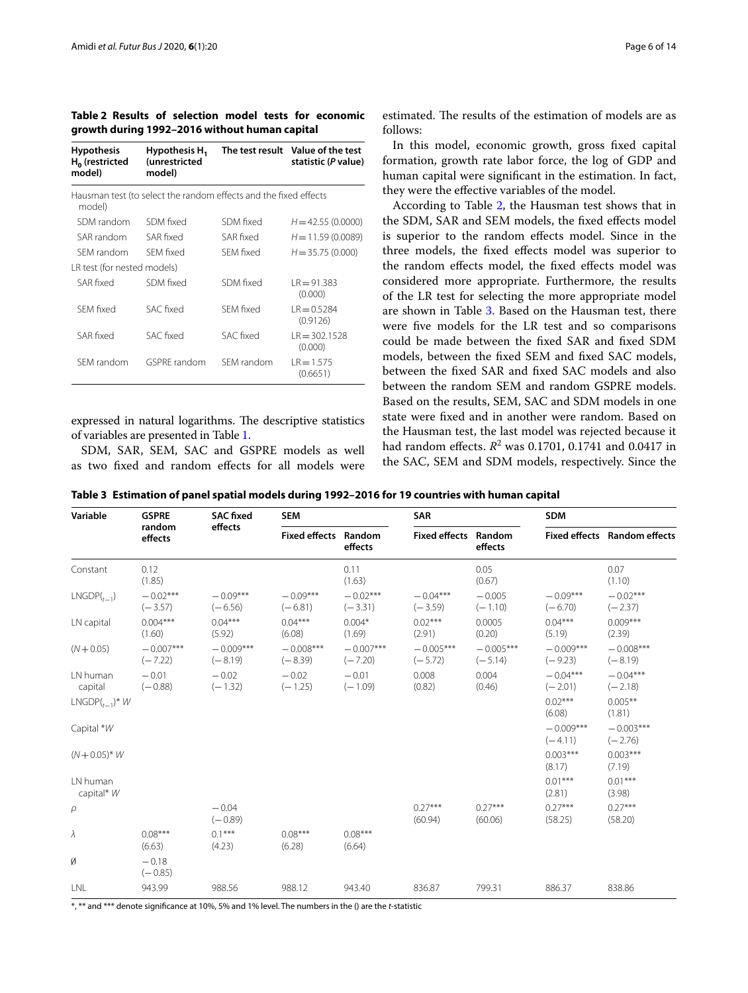<span id="page-5-0"></span>**Table 2 Results of selection model tests for economic growth during 1992–2016 without human capital**

| Hausman test (to select the random effects and the fixed effects |            |                           |
|------------------------------------------------------------------|------------|---------------------------|
|                                                                  |            |                           |
| SDM fixed                                                        | SDM fixed  | $H = 42.55(0.0000)$       |
| SAR fixed                                                        | SAR fixed  | $H = 11.59(0.0089)$       |
| <b>SFM fixed</b>                                                 | SFM fixed  | $H = 35.75(0.000)$        |
| LR test (for nested models)                                      |            |                           |
| SDM fixed                                                        | SDM fixed  | $R = 91.383$<br>(0.000)   |
| SAC fixed                                                        | SFM fixed  | $R = 0.5284$<br>(0.9126)  |
| SAC fixed                                                        | SAC fixed  | $R = 302.1528$<br>(0.000) |
| <b>GSPRF</b> random                                              | SFM random | $R = 1.575$<br>(0.6651)   |
|                                                                  |            |                           |

expressed in natural logarithms. The descriptive statistics of variables are presented in Table [1.](#page-4-2)

SDM, SAR, SEM, SAC and GSPRE models as well as two fxed and random efects for all models were

estimated. The results of the estimation of models are as follows:

In this model, economic growth, gross fxed capital formation, growth rate labor force, the log of GDP and human capital were signifcant in the estimation. In fact, they were the efective variables of the model.

According to Table [2](#page-5-0), the Hausman test shows that in the SDM, SAR and SEM models, the fxed efects model is superior to the random efects model. Since in the three models, the fxed efects model was superior to the random effects model, the fixed effects model was considered more appropriate. Furthermore, the results of the LR test for selecting the more appropriate model are shown in Table [3.](#page-5-1) Based on the Hausman test, there were fve models for the LR test and so comparisons could be made between the fxed SAR and fxed SDM models, between the fxed SEM and fxed SAC models, between the fxed SAR and fxed SAC models and also between the random SEM and random GSPRE models. Based on the results, SEM, SAC and SDM models in one state were fxed and in another were random. Based on the Hausman test, the last model was rejected because it had random effects.  $R^2$  was 0.1701, 0.1741 and 0.0417 in the SAC, SEM and SDM models, respectively. Since the

<span id="page-5-1"></span>

|  |  | Table 3 Estimation of panel spatial models during 1992–2016 for 19 countries with human capital |  |  |  |
|--|--|-------------------------------------------------------------------------------------------------|--|--|--|
|--|--|-------------------------------------------------------------------------------------------------|--|--|--|

| Variable               | <b>GSPRE</b>             | <b>SAC fixed</b>         | <b>SEM</b>                  |                          | <b>SAR</b>                  |                          | <b>SDM</b>               |                                     |
|------------------------|--------------------------|--------------------------|-----------------------------|--------------------------|-----------------------------|--------------------------|--------------------------|-------------------------------------|
|                        | random<br>effects        | effects                  | <b>Fixed effects Random</b> | effects                  | <b>Fixed effects Random</b> | effects                  |                          | <b>Fixed effects</b> Random effects |
| Constant               | 0.12<br>(1.85)           |                          |                             | 0.11<br>(1.63)           |                             | 0.05<br>(0.67)           |                          | 0.07<br>(1.10)                      |
| $LNGDP(t_{-1})$        | $-0.02***$<br>$(-3.57)$  | $-0.09***$<br>$(-6.56)$  | $-0.09***$<br>$(-6.81)$     | $-0.02***$<br>$(-3.31)$  | $-0.04***$<br>$(-3.59)$     | $-0.005$<br>$(-1.10)$    | $-0.09***$<br>$(-6.70)$  | $-0.02***$<br>$(-2.37)$             |
| LN capital             | $0.004***$<br>(1.60)     | $0.04***$<br>(5.92)      | $0.04***$<br>(6.08)         | $0.004*$<br>(1.69)       | $0.02***$<br>(2.91)         | 0.0005<br>(0.20)         | $0.04***$<br>(5.19)      | $0.009***$<br>(2.39)                |
| $(N + 0.05)$           | $-0.007***$<br>$(-7.22)$ | $-0.009***$<br>$(-8.19)$ | $-0.008***$<br>$(-8.39)$    | $-0.007***$<br>$(-7.20)$ | $-0.005***$<br>$(-5.72)$    | $-0.005***$<br>$(-5.14)$ | $-0.009***$<br>$(-9.23)$ | $-0.008***$<br>$(-8.19)$            |
| LN human<br>capital    | $-0.01$<br>$(-0.88)$     | $-0.02$<br>$(-1.32)$     | $-0.02$<br>$(-1.25)$        | $-0.01$<br>$(-1.09)$     | 0.008<br>(0.82)             | 0.004<br>(0.46)          | $-0.04***$<br>$(-2.01)$  | $-0.04***$<br>$(-2.18)$             |
| $LNGDP(_{t-1})^* W$    |                          |                          |                             |                          |                             |                          | $0.02***$<br>(6.08)      | $0.005***$<br>(1.81)                |
| Capital *W             |                          |                          |                             |                          |                             |                          | $-0.009***$<br>$(-4.11)$ | $-0.003***$<br>$(-2.76)$            |
| $(N + 0.05)^* W$       |                          |                          |                             |                          |                             |                          | $0.003***$<br>(8.17)     | $0.003***$<br>(7.19)                |
| LN human<br>capital* W |                          |                          |                             |                          |                             |                          | $0.01***$<br>(2.81)      | $0.01***$<br>(3.98)                 |
| $\rho$                 |                          | $-0.04$<br>$(-0.89)$     |                             |                          | $0.27***$<br>(60.94)        | $0.27***$<br>(60.06)     | $0.27***$<br>(58.25)     | $0.27***$<br>(58.20)                |
| λ                      | $0.08***$<br>(6.63)      | $0.1***$<br>(4.23)       | $0.08***$<br>(6.28)         | $0.08***$<br>(6.64)      |                             |                          |                          |                                     |
| Ø                      | $-0.18$<br>$(-0.85)$     |                          |                             |                          |                             |                          |                          |                                     |
| LNL                    | 943.99                   | 988.56                   | 988.12                      | 943.40                   | 836.87                      | 799.31                   | 886.37                   | 838.86                              |

\*, \*\* and \*\*\* denote signifcance at 10%, 5% and 1% level. The numbers in the () are the *t*-statistic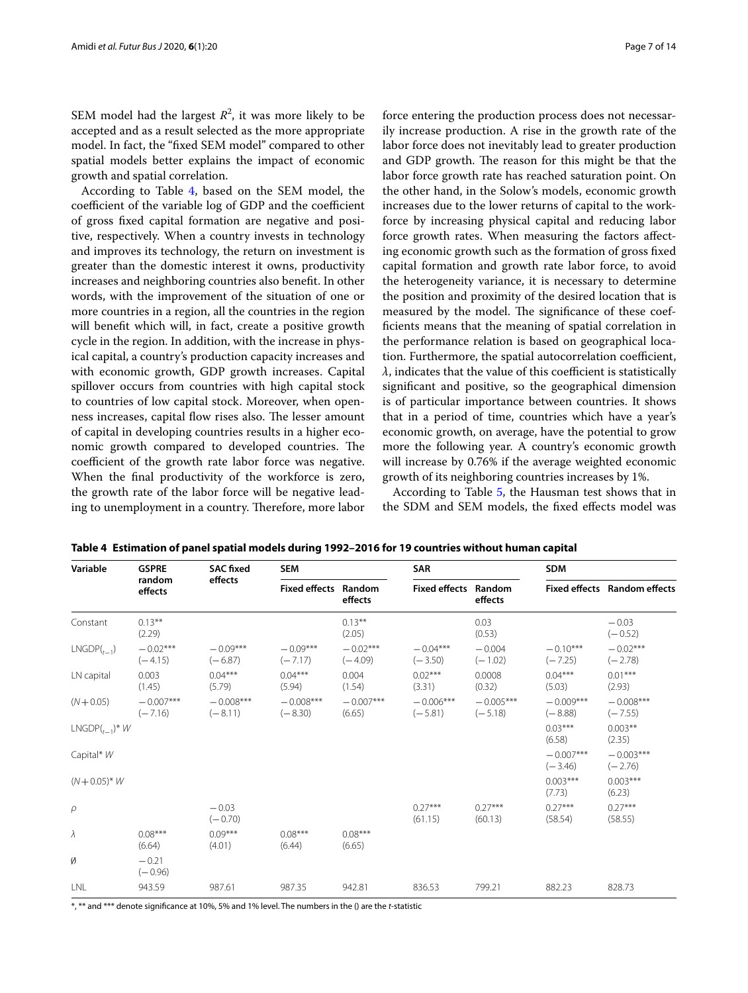SEM model had the largest  $R^2$ , it was more likely to be accepted and as a result selected as the more appropriate model. In fact, the "fxed SEM model" compared to other spatial models better explains the impact of economic

growth and spatial correlation. According to Table [4](#page-6-0), based on the SEM model, the coefficient of the variable log of GDP and the coefficient of gross fxed capital formation are negative and positive, respectively. When a country invests in technology and improves its technology, the return on investment is greater than the domestic interest it owns, productivity increases and neighboring countries also beneft. In other words, with the improvement of the situation of one or more countries in a region, all the countries in the region will beneft which will, in fact, create a positive growth cycle in the region. In addition, with the increase in physical capital, a country's production capacity increases and with economic growth, GDP growth increases. Capital spillover occurs from countries with high capital stock to countries of low capital stock. Moreover, when openness increases, capital flow rises also. The lesser amount of capital in developing countries results in a higher economic growth compared to developed countries. The coefficient of the growth rate labor force was negative. When the fnal productivity of the workforce is zero, the growth rate of the labor force will be negative leading to unemployment in a country. Therefore, more labor force entering the production process does not necessarily increase production. A rise in the growth rate of the labor force does not inevitably lead to greater production and GDP growth. The reason for this might be that the labor force growth rate has reached saturation point. On the other hand, in the Solow's models, economic growth increases due to the lower returns of capital to the workforce by increasing physical capital and reducing labor force growth rates. When measuring the factors afecting economic growth such as the formation of gross fxed capital formation and growth rate labor force, to avoid the heterogeneity variance, it is necessary to determine the position and proximity of the desired location that is measured by the model. The significance of these coeffcients means that the meaning of spatial correlation in the performance relation is based on geographical location. Furthermore, the spatial autocorrelation coefficient,  $\lambda$ , indicates that the value of this coefficient is statistically signifcant and positive, so the geographical dimension is of particular importance between countries. It shows that in a period of time, countries which have a year's economic growth, on average, have the potential to grow more the following year. A country's economic growth will increase by 0.76% if the average weighted economic growth of its neighboring countries increases by 1%.

According to Table [5](#page-7-0), the Hausman test shows that in the SDM and SEM models, the fxed efects model was

| Variable                      | <b>GSPRE</b>             | <b>SAC fixed</b>         | <b>SEM</b>                  |                         | <b>SAR</b>                  |                          | <b>SDM</b>               |                              |
|-------------------------------|--------------------------|--------------------------|-----------------------------|-------------------------|-----------------------------|--------------------------|--------------------------|------------------------------|
|                               | random<br>effects        | effects                  | <b>Fixed effects Random</b> | effects                 | <b>Fixed effects Random</b> | effects                  |                          | Fixed effects Random effects |
| Constant                      | $0.13***$<br>(2.29)      |                          |                             | $0.13***$<br>(2.05)     |                             | 0.03<br>(0.53)           |                          | $-0.03$<br>$(-0.52)$         |
| $LNGDP(t_{-1})$               | $-0.02***$<br>$(-4.15)$  | $-0.09***$<br>$(-6.87)$  | $-0.09***$<br>$(-7.17)$     | $-0.02***$<br>$(-4.09)$ | $-0.04***$<br>$(-3.50)$     | $-0.004$<br>$(-1.02)$    | $-0.10***$<br>$(-7.25)$  | $-0.02***$<br>$(-2.78)$      |
| LN capital                    | 0.003<br>(1.45)          | $0.04***$<br>(5.79)      | $0.04***$<br>(5.94)         | 0.004<br>(1.54)         | $0.02***$<br>(3.31)         | 0.0008<br>(0.32)         | $0.04***$<br>(5.03)      | $0.01***$<br>(2.93)          |
| $(N + 0.05)$                  | $-0.007***$<br>$(-7.16)$ | $-0.008***$<br>$(-8.11)$ | $-0.008***$<br>$(-8.30)$    | $-0.007***$<br>(6.65)   | $-0.006***$<br>$(-5.81)$    | $-0.005***$<br>$(-5.18)$ | $-0.009***$<br>$(-8.88)$ | $-0.008***$<br>$(-7.55)$     |
| $LNGDP($ <sub>t-1</sub> $)*W$ |                          |                          |                             |                         |                             |                          | $0.03***$<br>(6.58)      | $0.003**$<br>(2.35)          |
| Capital* W                    |                          |                          |                             |                         |                             |                          | $-0.007***$<br>$(-3.46)$ | $-0.003***$<br>$(-2.76)$     |
| $(N + 0.05)^* W$              |                          |                          |                             |                         |                             |                          | $0.003***$<br>(7.73)     | $0.003***$<br>(6.23)         |
| $\rho$                        |                          | $-0.03$<br>$(-0.70)$     |                             |                         | $0.27***$<br>(61.15)        | $0.27***$<br>(60.13)     | $0.27***$<br>(58.54)     | $0.27***$<br>(58.55)         |
| λ                             | $0.08***$<br>(6.64)      | $0.09***$<br>(4.01)      | $0.08***$<br>(6.44)         | $0.08***$<br>(6.65)     |                             |                          |                          |                              |
| Ø                             | $-0.21$<br>$(-0.96)$     |                          |                             |                         |                             |                          |                          |                              |
| LNL                           | 943.59                   | 987.61                   | 987.35                      | 942.81                  | 836.53                      | 799.21                   | 882.23                   | 828.73                       |

<span id="page-6-0"></span>**Table 4 Estimation of panel spatial models during 1992–2016 for 19 countries without human capital**

\*, \*\* and \*\*\* denote signifcance at 10%, 5% and 1% level. The numbers in the () are the *t-*statistic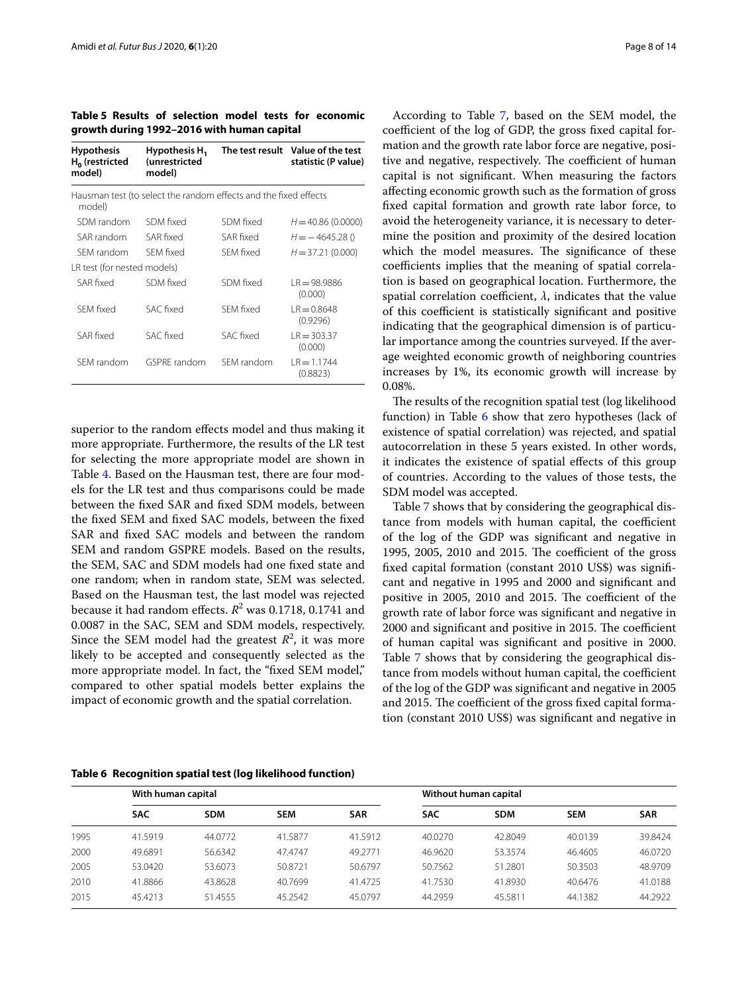<span id="page-7-0"></span>**Table 5 Results of selection model tests for economic growth during 1992–2016 with human capital**

| <b>Hypothesis</b><br>$H_0$ (restricted<br>model) | Hypothesis H <sub>1</sub><br>(unrestricted<br>model)             |            | The test result Value of the test<br>statistic (P value) |  |  |  |  |
|--------------------------------------------------|------------------------------------------------------------------|------------|----------------------------------------------------------|--|--|--|--|
| model)                                           | Hausman test (to select the random effects and the fixed effects |            |                                                          |  |  |  |  |
| SDM random                                       | SDM fixed                                                        | SDM fixed  | $H = 40.86(0.0000)$                                      |  |  |  |  |
| SAR random                                       | SAR fixed                                                        | SAR fixed  | $H = -4645.28()$                                         |  |  |  |  |
| SFM random                                       | SFM fixed                                                        | SFM fixed  | $H = 37.21(0.000)$                                       |  |  |  |  |
| LR test (for nested models)                      |                                                                  |            |                                                          |  |  |  |  |
| SAR fixed                                        | SDM fixed                                                        | SDM fixed  | $LR = 98.9886$<br>(0.000)                                |  |  |  |  |
| SFM fixed                                        | SAC fixed                                                        | SFM fixed  | $R = 0.8648$<br>(0.9296)                                 |  |  |  |  |
| SAR fixed                                        | SAC fixed                                                        | SAC fixed  | $LR = 303.37$<br>(0.000)                                 |  |  |  |  |
| SFM random                                       | GSPRF random                                                     | SFM random | $R = 1.1744$<br>(0.8823)                                 |  |  |  |  |

superior to the random effects model and thus making it more appropriate. Furthermore, the results of the LR test for selecting the more appropriate model are shown in Table [4](#page-6-0). Based on the Hausman test, there are four models for the LR test and thus comparisons could be made between the fxed SAR and fxed SDM models, between the fxed SEM and fxed SAC models, between the fxed SAR and fxed SAC models and between the random SEM and random GSPRE models. Based on the results, the SEM, SAC and SDM models had one fxed state and one random; when in random state, SEM was selected. Based on the Hausman test, the last model was rejected because it had random effects.  $R^2$  was 0.1718, 0.1741 and 0.0087 in the SAC, SEM and SDM models, respectively. Since the SEM model had the greatest  $R^2$ , it was more likely to be accepted and consequently selected as the more appropriate model. In fact, the "fixed SEM model," compared to other spatial models better explains the impact of economic growth and the spatial correlation.

According to Table [7](#page-8-0), based on the SEM model, the coefficient of the log of GDP, the gross fixed capital formation and the growth rate labor force are negative, positive and negative, respectively. The coefficient of human capital is not signifcant. When measuring the factors afecting economic growth such as the formation of gross fxed capital formation and growth rate labor force, to avoid the heterogeneity variance, it is necessary to determine the position and proximity of the desired location which the model measures. The significance of these coefficients implies that the meaning of spatial correlation is based on geographical location. Furthermore, the spatial correlation coefficient,  $\lambda$ , indicates that the value of this coefficient is statistically significant and positive indicating that the geographical dimension is of particular importance among the countries surveyed. If the average weighted economic growth of neighboring countries increases by 1%, its economic growth will increase by 0.08%.

The results of the recognition spatial test (log likelihood function) in Table [6](#page-7-1) show that zero hypotheses (lack of existence of spatial correlation) was rejected, and spatial autocorrelation in these 5 years existed. In other words, it indicates the existence of spatial efects of this group of countries. According to the values of those tests, the SDM model was accepted.

Table [7](#page-8-0) shows that by considering the geographical distance from models with human capital, the coefficient of the log of the GDP was signifcant and negative in 1995, 2005, 2010 and 2015. The coefficient of the gross fxed capital formation (constant 2010 US\$) was signifcant and negative in 1995 and 2000 and signifcant and positive in 2005, 2010 and 2015. The coefficient of the growth rate of labor force was signifcant and negative in 2000 and significant and positive in 2015. The coefficient of human capital was signifcant and positive in 2000. Table [7](#page-8-0) shows that by considering the geographical distance from models without human capital, the coefficient of the log of the GDP was signifcant and negative in 2005 and 2015. The coefficient of the gross fixed capital formation (constant 2010 US\$) was signifcant and negative in

<span id="page-7-1"></span>

| Table 6 Recognition spatial test (log likelihood function) |  |  |  |  |  |
|------------------------------------------------------------|--|--|--|--|--|
|------------------------------------------------------------|--|--|--|--|--|

|      | With human capital |            |            |            |            | Without human capital |            |            |  |  |
|------|--------------------|------------|------------|------------|------------|-----------------------|------------|------------|--|--|
|      | <b>SAC</b>         | <b>SDM</b> | <b>SEM</b> | <b>SAR</b> | <b>SAC</b> | <b>SDM</b>            | <b>SEM</b> | <b>SAR</b> |  |  |
| 1995 | 41.5919            | 44.0772    | 41.5877    | 41.5912    | 40.0270    | 42.8049               | 40.0139    | 39.8424    |  |  |
| 2000 | 49.6891            | 56.6342    | 47.4747    | 49.2771    | 46.9620    | 53.3574               | 46.4605    | 46.0720    |  |  |
| 2005 | 53.0420            | 53.6073    | 50.8721    | 50.6797    | 50.7562    | 51.2801               | 50.3503    | 48.9709    |  |  |
| 2010 | 41.8866            | 43.8628    | 40.7699    | 41.4725    | 41.7530    | 41.8930               | 40.6476    | 41.0188    |  |  |
| 2015 | 45.4213            | 51.4555    | 45.2542    | 45.0797    | 44.2959    | 45.5811               | 44.1382    | 44.2922    |  |  |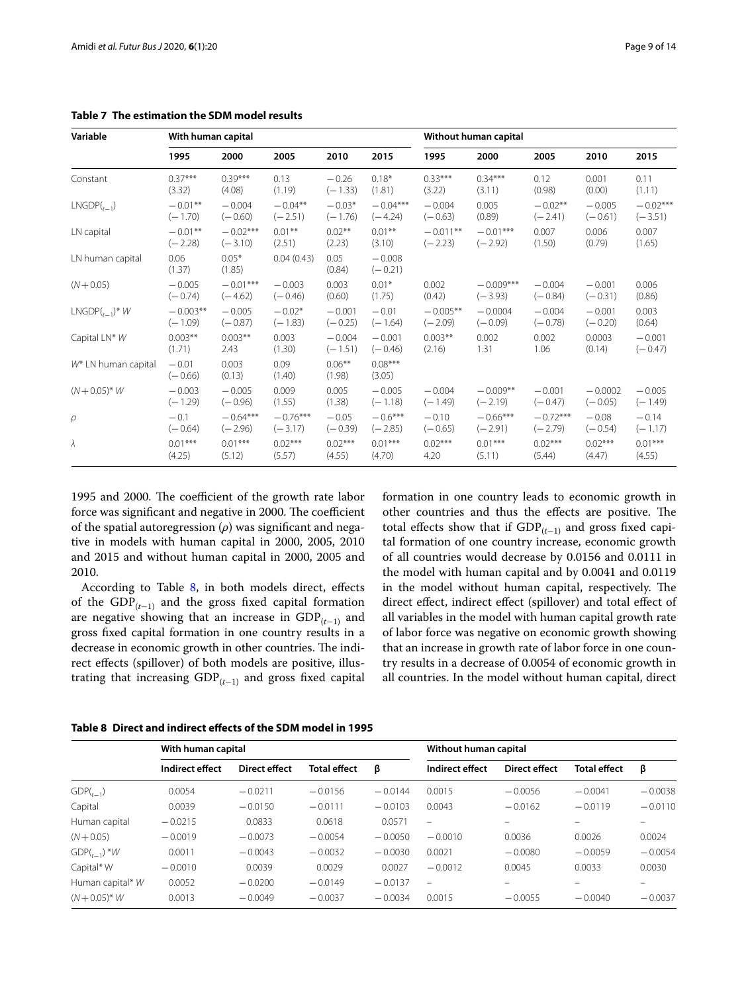| Variable                        | With human capital   |                   |                |                     | Without human capital |            |             |            |           |            |
|---------------------------------|----------------------|-------------------|----------------|---------------------|-----------------------|------------|-------------|------------|-----------|------------|
|                                 | 1995                 | 2000              | 2005           | 2010                | 2015                  | 1995       | 2000        | 2005       | 2010      | 2015       |
| Constant                        | $0.37***$            | $0.39***$         | 0.13           | $-0.26$             | $0.18*$               | $0.33***$  | $0.34***$   | 0.12       | 0.001     | 0.11       |
|                                 | (3.32)               | (4.08)            | (1.19)         | $(-1.33)$           | (1.81)                | (3.22)     | (3.11)      | (0.98)     | (0.00)    | (1.11)     |
| $LNGDP(t_{-1})$                 | $-0.01**$            | $-0.004$          | $-0.04**$      | $-0.03*$            | $-0.04***$            | $-0.004$   | 0.005       | $-0.02**$  | $-0.005$  | $-0.02***$ |
|                                 | $(-1.70)$            | $(-0.60)$         | $(-2.51)$      | $(-1.76)$           | $(-4.24)$             | $(-0.63)$  | (0.89)      | $(-2.41)$  | $(-0.61)$ | $(-3.51)$  |
| LN capital                      | $-0.01**$            | $-0.02***$        | $0.01***$      | $0.02***$           | $0.01***$             | $-0.011**$ | $-0.01***$  | 0.007      | 0.006     | 0.007      |
|                                 | $(-2.28)$            | $(-3.10)$         | (2.51)         | (2.23)              | (3.10)                | $(-2.23)$  | $(-2.92)$   | (1.50)     | (0.79)    | (1.65)     |
| LN human capital                | 0.06<br>(1.37)       | $0.05*$<br>(1.85) | 0.04(0.43)     | 0.05<br>(0.84)      | $-0.008$<br>$(-0.21)$ |            |             |            |           |            |
| $(N + 0.05)$                    | $-0.005$             | $-0.01***$        | $-0.003$       | 0.003               | $0.01*$               | 0.002      | $-0.009***$ | $-0.004$   | $-0.001$  | 0.006      |
|                                 | $(-0.74)$            | $(-4.62)$         | $(-0.46)$      | (0.60)              | (1.75)                | (0.42)     | $(-3.93)$   | $(-0.84)$  | $(-0.31)$ | (0.86)     |
| $LNGDP(t_{-1})^*$ W             | $-0.003**$           | $-0.005$          | $-0.02*$       | $-0.001$            | $-0.01$               | $-0.005**$ | $-0.0004$   | $-0.004$   | $-0.001$  | 0.003      |
|                                 | $(-1.09)$            | $(-0.87)$         | $(-1.83)$      | $(-0.25)$           | $(-1.64)$             | $(-2.09)$  | $(-0.09)$   | $(-0.78)$  | $(-0.20)$ | (0.64)     |
| Capital LN* W                   | $0.003**$            | $0.003**$         | 0.003          | $-0.004$            | $-0.001$              | $0.003**$  | 0.002       | 0.002      | 0.0003    | $-0.001$   |
|                                 | (1.71)               | 2.43              | (1.30)         | $(-1.51)$           | $(-0.46)$             | (2.16)     | 1.31        | 1.06       | (0.14)    | $(-0.47)$  |
| W <sup>*</sup> LN human capital | $-0.01$<br>$(-0.66)$ | 0.003<br>(0.13)   | 0.09<br>(1.40) | $0.06***$<br>(1.98) | $0.08***$<br>(3.05)   |            |             |            |           |            |
| $(N + 0.05)^* W$                | $-0.003$             | $-0.005$          | 0.009          | 0.005               | $-0.005$              | $-0.004$   | $-0.009**$  | $-0.001$   | $-0.0002$ | $-0.005$   |
|                                 | $(-1.29)$            | $(-0.96)$         | (1.55)         | (1.38)              | $(-1.18)$             | $(-1.49)$  | $(-2.19)$   | $(-0.47)$  | $(-0.05)$ | $(-1.49)$  |
| $\rho$                          | $-0.1$               | $-0.64***$        | $-0.76***$     | $-0.05$             | $-0.6***$             | $-0.10$    | $-0.66***$  | $-0.72***$ | $-0.08$   | $-0.14$    |
|                                 | $(-0.64)$            | $(-2.96)$         | $(-3.17)$      | $(-0.39)$           | $(-2.85)$             | $(-0.65)$  | $(-2.91)$   | $(-2.79)$  | $(-0.54)$ | $(-1.17)$  |
| $\lambda$                       | $0.01***$            | $0.01***$         | $0.02***$      | $0.02***$           | $0.01***$             | $0.02***$  | $0.01***$   | $0.02***$  | $0.02***$ | $0.01***$  |
|                                 | (4.25)               | (5.12)            | (5.57)         | (4.55)              | (4.70)                | 4.20       | (5.11)      | (5.44)     | (4.47)    | (4.55)     |

<span id="page-8-0"></span>**Table 7 The estimation the SDM model results**

1995 and 2000. The coefficient of the growth rate labor force was significant and negative in 2000. The coefficient of the spatial autoregression (*ρ*) was signifcant and negative in models with human capital in 2000, 2005, 2010 and 2015 and without human capital in 2000, 2005 and 2010.

According to Table [8](#page-8-1), in both models direct, effects of the GDP(*<sup>t</sup>*−1) and the gross fxed capital formation are negative showing that an increase in GDP(*<sup>t</sup>*−1) and gross fxed capital formation in one country results in a decrease in economic growth in other countries. The indirect efects (spillover) of both models are positive, illustrating that increasing GDP(*<sup>t</sup>*−1) and gross fxed capital formation in one country leads to economic growth in other countries and thus the effects are positive. The total effects show that if  $GDP_{(t-1)}$  and gross fixed capital formation of one country increase, economic growth of all countries would decrease by 0.0156 and 0.0111 in the model with human capital and by 0.0041 and 0.0119 in the model without human capital, respectively. The direct efect, indirect efect (spillover) and total efect of all variables in the model with human capital growth rate of labor force was negative on economic growth showing that an increase in growth rate of labor force in one country results in a decrease of 0.0054 of economic growth in all countries. In the model without human capital, direct

<span id="page-8-1"></span>

| Table 8 Direct and indirect effects of the SDM model in 1995 |  |
|--------------------------------------------------------------|--|
|--------------------------------------------------------------|--|

|                  | With human capital |               |                     | Without human capital |                   |               |                          |                          |
|------------------|--------------------|---------------|---------------------|-----------------------|-------------------|---------------|--------------------------|--------------------------|
|                  | Indirect effect    | Direct effect | <b>Total effect</b> | β                     | Indirect effect   | Direct effect | <b>Total effect</b>      | β                        |
| $GDP(t_{t-1})$   | 0.0054             | $-0.0211$     | $-0.0156$           | $-0.0144$             | 0.0015            | $-0.0056$     | $-0.0041$                | $-0.0038$                |
| Capital          | 0.0039             | $-0.0150$     | $-0.0111$           | $-0.0103$             | 0.0043            | $-0.0162$     | $-0.0119$                | $-0.0110$                |
| Human capital    | $-0.0215$          | 0.0833        | 0.0618              | 0.0571                | $\qquad \qquad =$ |               |                          |                          |
| $(N + 0.05)$     | $-0.0019$          | $-0.0073$     | $-0.0054$           | $-0.0050$             | $-0.0010$         | 0.0036        | 0.0026                   | 0.0024                   |
| $GDP(_{t-1})$ *W | 0.0011             | $-0.0043$     | $-0.0032$           | $-0.0030$             | 0.0021            | $-0.0080$     | $-0.0059$                | $-0.0054$                |
| Capital* W       | $-0.0010$          | 0.0039        | 0.0029              | 0.0027                | $-0.0012$         | 0.0045        | 0.0033                   | 0.0030                   |
| Human capital* W | 0.0052             | $-0.0200$     | $-0.0149$           | $-0.0137$             | $\qquad \qquad =$ |               | $\overline{\phantom{0}}$ | $\overline{\phantom{a}}$ |
| $(N + 0.05)^* W$ | 0.0013             | $-0.0049$     | $-0.0037$           | $-0.0034$             | 0.0015            | $-0.0055$     | $-0.0040$                | $-0.0037$                |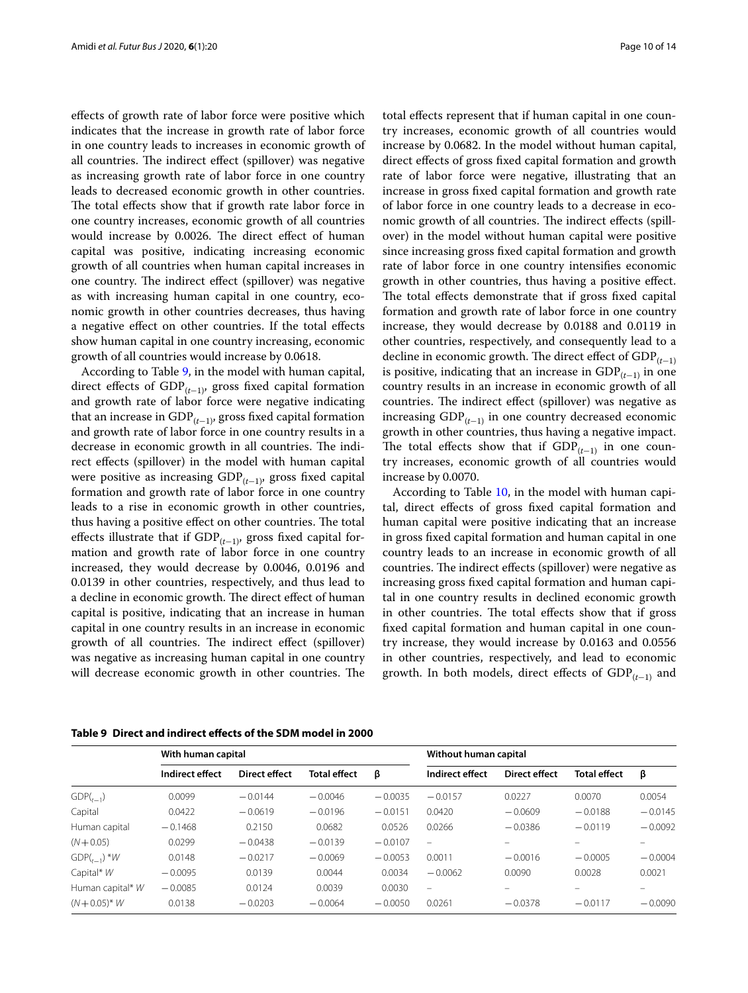efects of growth rate of labor force were positive which indicates that the increase in growth rate of labor force in one country leads to increases in economic growth of all countries. The indirect effect (spillover) was negative as increasing growth rate of labor force in one country leads to decreased economic growth in other countries. The total effects show that if growth rate labor force in one country increases, economic growth of all countries would increase by 0.0026. The direct effect of human capital was positive, indicating increasing economic growth of all countries when human capital increases in one country. The indirect effect (spillover) was negative as with increasing human capital in one country, economic growth in other countries decreases, thus having a negative efect on other countries. If the total efects show human capital in one country increasing, economic growth of all countries would increase by 0.0618.

According to Table [9](#page-9-0), in the model with human capital, direct efects of GDP(*<sup>t</sup>*−1), gross fxed capital formation and growth rate of labor force were negative indicating that an increase in GDP(*<sup>t</sup>*−1), gross fxed capital formation and growth rate of labor force in one country results in a decrease in economic growth in all countries. The indirect efects (spillover) in the model with human capital were positive as increasing GDP(*<sup>t</sup>*−1), gross fxed capital formation and growth rate of labor force in one country leads to a rise in economic growth in other countries, thus having a positive effect on other countries. The total efects illustrate that if GDP(*<sup>t</sup>*−1), gross fxed capital formation and growth rate of labor force in one country increased, they would decrease by 0.0046, 0.0196 and 0.0139 in other countries, respectively, and thus lead to a decline in economic growth. The direct effect of human capital is positive, indicating that an increase in human capital in one country results in an increase in economic growth of all countries. The indirect effect (spillover) was negative as increasing human capital in one country will decrease economic growth in other countries. The total efects represent that if human capital in one country increases, economic growth of all countries would increase by 0.0682. In the model without human capital, direct efects of gross fxed capital formation and growth rate of labor force were negative, illustrating that an increase in gross fxed capital formation and growth rate of labor force in one country leads to a decrease in economic growth of all countries. The indirect effects (spillover) in the model without human capital were positive since increasing gross fxed capital formation and growth rate of labor force in one country intensifes economic growth in other countries, thus having a positive efect. The total effects demonstrate that if gross fixed capital formation and growth rate of labor force in one country increase, they would decrease by 0.0188 and 0.0119 in other countries, respectively, and consequently lead to a decline in economic growth. The direct effect of  $GDP$ <sub> $(t-1)$ </sub> is positive, indicating that an increase in  $GDP$ <sub>( $t-1$ )</sub> in one country results in an increase in economic growth of all countries. The indirect effect (spillover) was negative as increasing GDP(*<sup>t</sup>*−1) in one country decreased economic growth in other countries, thus having a negative impact. The total effects show that if  $GDP_{(t-1)}$  in one country increases, economic growth of all countries would increase by 0.0070.

According to Table [10](#page-10-0), in the model with human capital, direct efects of gross fxed capital formation and human capital were positive indicating that an increase in gross fxed capital formation and human capital in one country leads to an increase in economic growth of all countries. The indirect effects (spillover) were negative as increasing gross fxed capital formation and human capital in one country results in declined economic growth in other countries. The total effects show that if gross fxed capital formation and human capital in one country increase, they would increase by 0.0163 and 0.0556 in other countries, respectively, and lead to economic growth. In both models, direct effects of GDP<sub>(t−1)</sub> and

|                   | With human capital |                      |                     | Without human capital |                          |               |                          |           |
|-------------------|--------------------|----------------------|---------------------|-----------------------|--------------------------|---------------|--------------------------|-----------|
|                   | Indirect effect    | <b>Direct effect</b> | <b>Total effect</b> | β                     | Indirect effect          | Direct effect | <b>Total effect</b>      | β         |
| $GDP(t-1)$        | 0.0099             | $-0.0144$            | $-0.0046$           | $-0.0035$             | $-0.0157$                | 0.0227        | 0.0070                   | 0.0054    |
| Capital           | 0.0422             | $-0.0619$            | $-0.0196$           | $-0.0151$             | 0.0420                   | $-0.0609$     | $-0.0188$                | $-0.0145$ |
| Human capital     | $-0.1468$          | 0.2150               | 0.0682              | 0.0526                | 0.0266                   | $-0.0386$     | $-0.0119$                | $-0.0092$ |
| $(N + 0.05)$      | 0.0299             | $-0.0438$            | $-0.0139$           | $-0.0107$             | $\overline{\phantom{m}}$ |               |                          |           |
| $GDP(t_{t-1})$ *W | 0.0148             | $-0.0217$            | $-0.0069$           | $-0.0053$             | 0.0011                   | $-0.0016$     | $-0.0005$                | $-0.0004$ |
| Capital* $W$      | $-0.0095$          | 0.0139               | 0.0044              | 0.0034                | $-0.0062$                | 0.0090        | 0.0028                   | 0.0021    |
| Human capital* W  | $-0.0085$          | 0.0124               | 0.0039              | 0.0030                | $\overline{\phantom{m}}$ |               | $\overline{\phantom{0}}$ |           |
| $(N + 0.05)^* W$  | 0.0138             | $-0.0203$            | $-0.0064$           | $-0.0050$             | 0.0261                   | $-0.0378$     | $-0.0117$                | $-0.0090$ |

<span id="page-9-0"></span>**Table 9 Direct and indirect efects of the SDM model in 2000**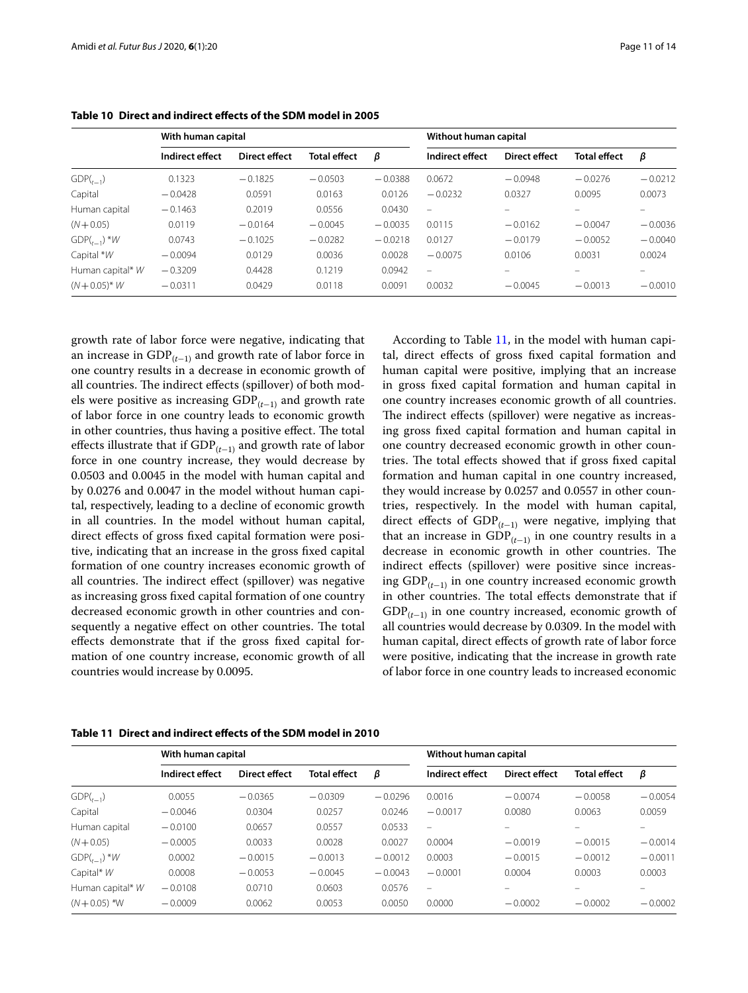|                  | With human capital |               |                     |           | Without human capital    |                      |                          |           |
|------------------|--------------------|---------------|---------------------|-----------|--------------------------|----------------------|--------------------------|-----------|
|                  | Indirect effect    | Direct effect | <b>Total effect</b> | β         | Indirect effect          | <b>Direct effect</b> | <b>Total effect</b>      | β         |
| $GDP(t_{-1})$    | 0.1323             | $-0.1825$     | $-0.0503$           | $-0.0388$ | 0.0672                   | $-0.0948$            | $-0.0276$                | $-0.0212$ |
| Capital          | $-0.0428$          | 0.0591        | 0.0163              | 0.0126    | $-0.0232$                | 0.0327               | 0.0095                   | 0.0073    |
| Human capital    | $-0.1463$          | 0.2019        | 0.0556              | 0.0430    | $\overline{\phantom{m}}$ |                      | $\overline{\phantom{0}}$ | $\equiv$  |
| $(N + 0.05)$     | 0.0119             | $-0.0164$     | $-0.0045$           | $-0.0035$ | 0.0115                   | $-0.0162$            | $-0.0047$                | $-0.0036$ |
| $GDP(t_{-1})$ *W | 0.0743             | $-0.1025$     | $-0.0282$           | $-0.0218$ | 0.0127                   | $-0.0179$            | $-0.0052$                | $-0.0040$ |
| Capital $*W$     | $-0.0094$          | 0.0129        | 0.0036              | 0.0028    | $-0.0075$                | 0.0106               | 0.0031                   | 0.0024    |
| Human capital* W | $-0.3209$          | 0.4428        | 0.1219              | 0.0942    | $\overline{\phantom{a}}$ |                      |                          |           |
| $(N + 0.05)^* W$ | $-0.0311$          | 0.0429        | 0.0118              | 0.0091    | 0.0032                   | $-0.0045$            | $-0.0013$                | $-0.0010$ |

<span id="page-10-0"></span>**Table 10 Direct and indirect efects of the SDM model in 2005**

growth rate of labor force were negative, indicating that an increase in GDP(*<sup>t</sup>*−1) and growth rate of labor force in one country results in a decrease in economic growth of all countries. The indirect effects (spillover) of both models were positive as increasing GDP(*<sup>t</sup>*−1) and growth rate of labor force in one country leads to economic growth in other countries, thus having a positive effect. The total efects illustrate that if GDP(*<sup>t</sup>*−1) and growth rate of labor force in one country increase, they would decrease by 0.0503 and 0.0045 in the model with human capital and by 0.0276 and 0.0047 in the model without human capital, respectively, leading to a decline of economic growth in all countries. In the model without human capital, direct efects of gross fxed capital formation were positive, indicating that an increase in the gross fxed capital formation of one country increases economic growth of all countries. The indirect effect (spillover) was negative as increasing gross fxed capital formation of one country decreased economic growth in other countries and consequently a negative effect on other countries. The total efects demonstrate that if the gross fxed capital formation of one country increase, economic growth of all countries would increase by 0.0095.

According to Table [11](#page-10-1), in the model with human capital, direct efects of gross fxed capital formation and human capital were positive, implying that an increase in gross fxed capital formation and human capital in one country increases economic growth of all countries. The indirect effects (spillover) were negative as increasing gross fxed capital formation and human capital in one country decreased economic growth in other countries. The total effects showed that if gross fixed capital formation and human capital in one country increased, they would increase by 0.0257 and 0.0557 in other countries, respectively. In the model with human capital, direct efects of GDP(*<sup>t</sup>*−1) were negative, implying that that an increase in  $GDP_{(t-1)}$  in one country results in a decrease in economic growth in other countries. The indirect efects (spillover) were positive since increasing GDP(*<sup>t</sup>*−1) in one country increased economic growth in other countries. The total effects demonstrate that if GDP(*<sup>t</sup>*−1) in one country increased, economic growth of all countries would decrease by 0.0309. In the model with human capital, direct effects of growth rate of labor force were positive, indicating that the increase in growth rate of labor force in one country leads to increased economic

|                  | With human capital |               |                     |           | Without human capital    |               |                     |           |
|------------------|--------------------|---------------|---------------------|-----------|--------------------------|---------------|---------------------|-----------|
|                  | Indirect effect    | Direct effect | <b>Total effect</b> | β         | Indirect effect          | Direct effect | <b>Total effect</b> | β         |
| $GDP(t-1)$       | 0.0055             | $-0.0365$     | $-0.0309$           | $-0.0296$ | 0.0016                   | $-0.0074$     | $-0.0058$           | $-0.0054$ |
| Capital          | $-0.0046$          | 0.0304        | 0.0257              | 0.0246    | $-0.0017$                | 0.0080        | 0.0063              | 0.0059    |
| Human capital    | $-0.0100$          | 0.0657        | 0.0557              | 0.0533    | $\qquad \qquad -$        |               |                     |           |
| $(N + 0.05)$     | $-0.0005$          | 0.0033        | 0.0028              | 0.0027    | 0.0004                   | $-0.0019$     | $-0.0015$           | $-0.0014$ |
| $GDP(t_{-1})$ *W | 0.0002             | $-0.0015$     | $-0.0013$           | $-0.0012$ | 0.0003                   | $-0.0015$     | $-0.0012$           | $-0.0011$ |
| Capital* W       | 0.0008             | $-0.0053$     | $-0.0045$           | $-0.0043$ | $-0.0001$                | 0.0004        | 0.0003              | 0.0003    |
| Human capital* W | $-0.0108$          | 0.0710        | 0.0603              | 0.0576    | $\overline{\phantom{0}}$ |               |                     |           |
| $(N + 0.05)$ *W  | $-0.0009$          | 0.0062        | 0.0053              | 0.0050    | 0.0000                   | $-0.0002$     | $-0.0002$           | $-0.0002$ |

<span id="page-10-1"></span>**Table 11 Direct and indirect efects of the SDM model in 2010**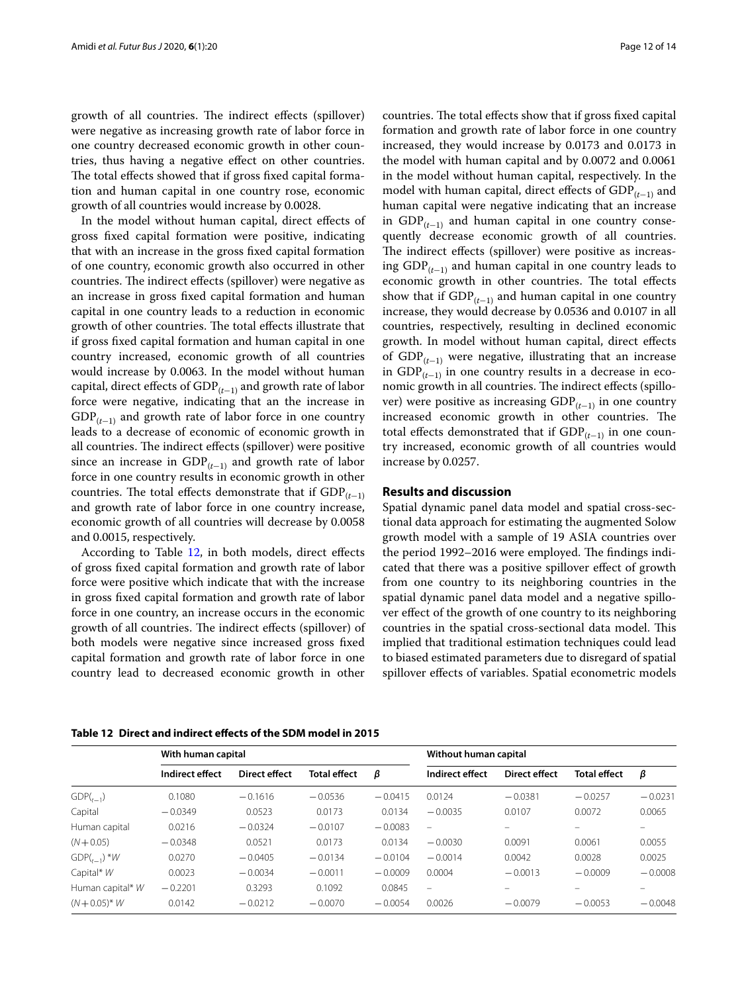growth of all countries. The indirect effects (spillover) were negative as increasing growth rate of labor force in one country decreased economic growth in other countries, thus having a negative efect on other countries. The total effects showed that if gross fixed capital formation and human capital in one country rose, economic growth of all countries would increase by 0.0028.

In the model without human capital, direct efects of gross fxed capital formation were positive, indicating that with an increase in the gross fxed capital formation of one country, economic growth also occurred in other countries. The indirect effects (spillover) were negative as an increase in gross fxed capital formation and human capital in one country leads to a reduction in economic growth of other countries. The total effects illustrate that if gross fxed capital formation and human capital in one country increased, economic growth of all countries would increase by 0.0063. In the model without human capital, direct efects of GDP(*<sup>t</sup>*−1) and growth rate of labor force were negative, indicating that an the increase in  $GDP$ <sub>( $t-1$ )</sub> and growth rate of labor force in one country leads to a decrease of economic of economic growth in all countries. The indirect effects (spillover) were positive since an increase in  $GDP$ <sub>( $t-1$ )</sub> and growth rate of labor force in one country results in economic growth in other countries. The total effects demonstrate that if  $GDP$ <sub> $(t-1)$ </sub> and growth rate of labor force in one country increase, economic growth of all countries will decrease by 0.0058 and 0.0015, respectively.

According to Table [12](#page-11-1), in both models, direct effects of gross fxed capital formation and growth rate of labor force were positive which indicate that with the increase in gross fxed capital formation and growth rate of labor force in one country, an increase occurs in the economic growth of all countries. The indirect effects (spillover) of both models were negative since increased gross fxed capital formation and growth rate of labor force in one country lead to decreased economic growth in other countries. The total effects show that if gross fixed capital formation and growth rate of labor force in one country increased, they would increase by 0.0173 and 0.0173 in the model with human capital and by 0.0072 and 0.0061 in the model without human capital, respectively. In the model with human capital, direct efects of GDP(*<sup>t</sup>*−1) and human capital were negative indicating that an increase in GDP(*<sup>t</sup>*−1) and human capital in one country consequently decrease economic growth of all countries. The indirect effects (spillover) were positive as increasing GDP(*<sup>t</sup>*−1) and human capital in one country leads to economic growth in other countries. The total effects show that if  $GDP_{(t-1)}$  and human capital in one country increase, they would decrease by 0.0536 and 0.0107 in all countries, respectively, resulting in declined economic growth. In model without human capital, direct efects of GDP(*<sup>t</sup>*−1) were negative, illustrating that an increase in GDP(*<sup>t</sup>*−1) in one country results in a decrease in economic growth in all countries. The indirect effects (spillover) were positive as increasing GDP(*<sup>t</sup>*−1) in one country increased economic growth in other countries. The total effects demonstrated that if  $GDP$ <sub> $(t-1)$ </sub> in one country increased, economic growth of all countries would increase by 0.0257.

## <span id="page-11-0"></span>**Results and discussion**

Spatial dynamic panel data model and spatial cross-sectional data approach for estimating the augmented Solow growth model with a sample of 19 ASIA countries over the period 1992–2016 were employed. The findings indicated that there was a positive spillover efect of growth from one country to its neighboring countries in the spatial dynamic panel data model and a negative spillover efect of the growth of one country to its neighboring countries in the spatial cross-sectional data model. This implied that traditional estimation techniques could lead to biased estimated parameters due to disregard of spatial spillover efects of variables. Spatial econometric models

<span id="page-11-1"></span>

|  | Table 12 Direct and indirect effects of the SDM model in 2015 |  |
|--|---------------------------------------------------------------|--|
|--|---------------------------------------------------------------|--|

|                  | With human capital |               |                     |           | Without human capital    |               |                     |           |
|------------------|--------------------|---------------|---------------------|-----------|--------------------------|---------------|---------------------|-----------|
|                  | Indirect effect    | Direct effect | <b>Total effect</b> | β         | Indirect effect          | Direct effect | <b>Total effect</b> | β         |
| $GDP(t_{t-1})$   | 0.1080             | $-0.1616$     | $-0.0536$           | $-0.0415$ | 0.0124                   | $-0.0381$     | $-0.0257$           | $-0.0231$ |
| Capital          | $-0.0349$          | 0.0523        | 0.0173              | 0.0134    | $-0.0035$                | 0.0107        | 0.0072              | 0.0065    |
| Human capital    | 0.0216             | $-0.0324$     | $-0.0107$           | $-0.0083$ | $\overline{\phantom{m}}$ | -             | -                   | -         |
| $(N + 0.05)$     | $-0.0348$          | 0.0521        | 0.0173              | 0.0134    | $-0.0030$                | 0.0091        | 0.0061              | 0.0055    |
| $GDP(t_{-1})$ *W | 0.0270             | $-0.0405$     | $-0.0134$           | $-0.0104$ | $-0.0014$                | 0.0042        | 0.0028              | 0.0025    |
| Capital* W       | 0.0023             | $-0.0034$     | $-0.0011$           | $-0.0009$ | 0.0004                   | $-0.0013$     | $-0.0009$           | $-0.0008$ |
| Human capital* W | $-0.2201$          | 0.3293        | 0.1092              | 0.0845    | $\equiv$                 |               |                     |           |
| $(N + 0.05)^* W$ | 0.0142             | $-0.0212$     | $-0.0070$           | $-0.0054$ | 0.0026                   | $-0.0079$     | $-0.0053$           | $-0.0048$ |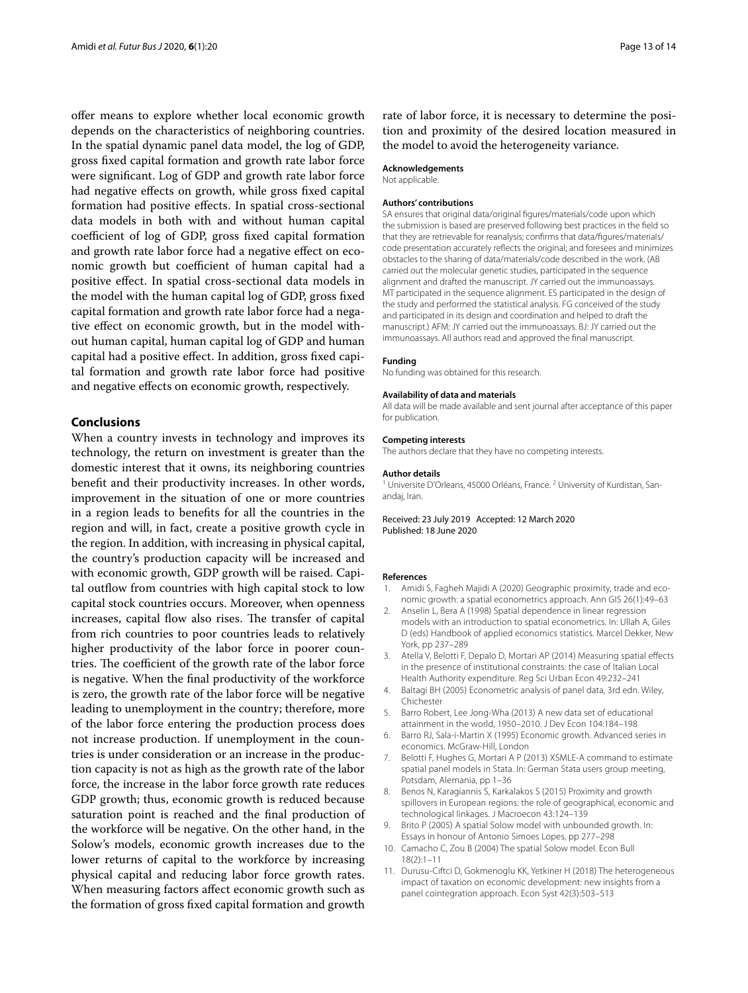offer means to explore whether local economic growth depends on the characteristics of neighboring countries. In the spatial dynamic panel data model, the log of GDP, gross fxed capital formation and growth rate labor force were signifcant. Log of GDP and growth rate labor force had negative efects on growth, while gross fxed capital formation had positive efects. In spatial cross-sectional data models in both with and without human capital coefficient of log of GDP, gross fixed capital formation and growth rate labor force had a negative effect on economic growth but coefficient of human capital had a positive efect. In spatial cross-sectional data models in the model with the human capital log of GDP, gross fxed capital formation and growth rate labor force had a negative efect on economic growth, but in the model without human capital, human capital log of GDP and human capital had a positive efect. In addition, gross fxed capital formation and growth rate labor force had positive and negative efects on economic growth, respectively.

## <span id="page-12-2"></span>**Conclusions**

When a country invests in technology and improves its technology, the return on investment is greater than the domestic interest that it owns, its neighboring countries beneft and their productivity increases. In other words, improvement in the situation of one or more countries in a region leads to benefts for all the countries in the region and will, in fact, create a positive growth cycle in the region. In addition, with increasing in physical capital, the country's production capacity will be increased and with economic growth, GDP growth will be raised. Capital outflow from countries with high capital stock to low capital stock countries occurs. Moreover, when openness increases, capital flow also rises. The transfer of capital from rich countries to poor countries leads to relatively higher productivity of the labor force in poorer countries. The coefficient of the growth rate of the labor force is negative. When the fnal productivity of the workforce is zero, the growth rate of the labor force will be negative leading to unemployment in the country; therefore, more of the labor force entering the production process does not increase production. If unemployment in the countries is under consideration or an increase in the production capacity is not as high as the growth rate of the labor force, the increase in the labor force growth rate reduces GDP growth; thus, economic growth is reduced because saturation point is reached and the fnal production of the workforce will be negative. On the other hand, in the Solow's models, economic growth increases due to the lower returns of capital to the workforce by increasing physical capital and reducing labor force growth rates. When measuring factors afect economic growth such as the formation of gross fxed capital formation and growth rate of labor force, it is necessary to determine the position and proximity of the desired location measured in the model to avoid the heterogeneity variance.

## **Acknowledgements**

Not applicable.

#### **Authors' contributions**

SA ensures that original data/original fgures/materials/code upon which the submission is based are preserved following best practices in the feld so that they are retrievable for reanalysis; confrms that data/fgures/materials/ code presentation accurately refects the original; and foresees and minimizes obstacles to the sharing of data/materials/code described in the work. (AB carried out the molecular genetic studies, participated in the sequence alignment and drafted the manuscript. JY carried out the immunoassays. MT participated in the sequence alignment. ES participated in the design of the study and performed the statistical analysis. FG conceived of the study and participated in its design and coordination and helped to draft the manuscript.) AFM: JY carried out the immunoassays. BJ: JY carried out the immunoassays. All authors read and approved the fnal manuscript.

#### **Funding**

No funding was obtained for this research.

#### **Availability of data and materials**

All data will be made available and sent journal after acceptance of this paper for publication.

#### **Competing interests**

The authors declare that they have no competing interests.

#### **Author details**

<sup>1</sup> Universite D'Orleans, 45000 Orléans, France.<sup>2</sup> University of Kurdistan, Sanandai, Iran.

Received: 23 July 2019 Accepted: 12 March 2020 Published: 18 June 2020

#### **References**

- <span id="page-12-0"></span>1. Amidi S, Fagheh Majidi A (2020) Geographic proximity, trade and economic growth: a spatial econometrics approach. Ann GIS 26(1):49–63
- <span id="page-12-7"></span>2. Anselin L, Bera A (1998) Spatial dependence in linear regression models with an introduction to spatial econometrics. In: Ullah A, Giles D (eds) Handbook of applied economics statistics. Marcel Dekker, New York, pp 237–289
- <span id="page-12-10"></span>3. Atella V, Belotti F, Depalo D, Mortari AP (2014) Measuring spatial efects in the presence of institutional constraints: the case of Italian Local Health Authority expenditure. Reg Sci Urban Econ 49:232–241
- <span id="page-12-9"></span>4. Baltagi BH (2005) Econometric analysis of panel data, 3rd edn. Wiley, Chichester
- <span id="page-12-11"></span>5. Barro Robert, Lee Jong-Wha (2013) A new data set of educational attainment in the world, 1950–2010. J Dev Econ 104:184–198
- <span id="page-12-1"></span>6. Barro RJ, Sala-i-Martin X (1995) Economic growth. Advanced series in economics. McGraw-Hill, London
- <span id="page-12-8"></span>7. Belotti F, Hughes G, Mortari A P (2013) XSMLE-A command to estimate spatial panel models in Stata. In: German Stata users group meeting, Potsdam, Alemania, pp 1–36
- <span id="page-12-5"></span>8. Benos N, Karagiannis S, Karkalakos S (2015) Proximity and growth spillovers in European regions: the role of geographical, economic and technological linkages. J Macroecon 43:124–139
- <span id="page-12-4"></span>9. Brito P (2005) A spatial Solow model with unbounded growth. In: Essays in honour of Antonio Simoes Lopes, pp 277–298
- <span id="page-12-3"></span>10. Camacho C, Zou B (2004) The spatial Solow model. Econ Bull 18(2):1–11
- <span id="page-12-6"></span>11. Durusu-Ciftci D, Gokmenoglu KK, Yetkiner H (2018) The heterogeneous impact of taxation on economic development: new insights from a panel cointegration approach. Econ Syst 42(3):503–513